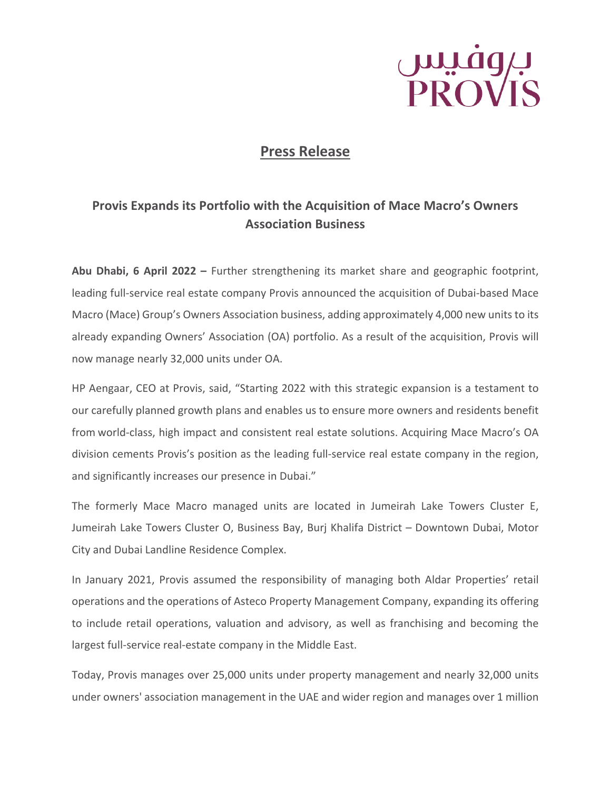

# **Press Release**

## **Provis Expands its Portfolio with the Acquisition of Mace Macro's Owners Association Business**

**Abu Dhabi, 6 April 2022 –** Further strengthening its market share and geographic footprint, leading full-service real estate company Provis announced the acquisition of Dubai-based Mace Macro (Mace) Group's Owners Association business, adding approximately 4,000 new units to its already expanding Owners' Association (OA) portfolio. As a result of the acquisition, Provis will now manage nearly 32,000 units under OA.

HP Aengaar, CEO at Provis, said, "Starting 2022 with this strategic expansion is a testament to our carefully planned growth plans and enables us to ensure more owners and residents benefit from world-class, high impact and consistent real estate solutions. Acquiring Mace Macro's OA division cements Provis's position as the leading full-service real estate company in the region, and significantly increases our presence in Dubai."

The formerly Mace Macro managed units are located in Jumeirah Lake Towers Cluster E, Jumeirah Lake Towers Cluster O, Business Bay, Burj Khalifa District – Downtown Dubai, Motor City and Dubai Landline Residence Complex.

In January 2021, Provis assumed the responsibility of managing both Aldar Properties' retail operations and the operations of Asteco Property Management Company, expanding its offering to include retail operations, valuation and advisory, as well as franchising and becoming the largest full-service real-estate company in the Middle East.

Today, Provis manages over 25,000 units under property management and nearly 32,000 units under owners' association management in the UAE and wider region and manages over 1 million